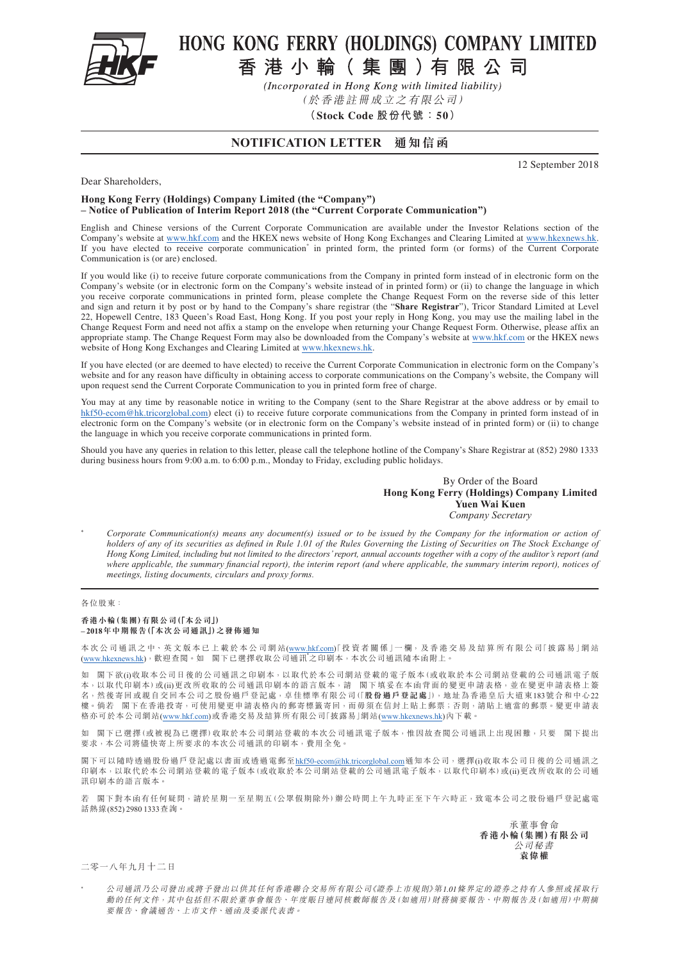

# HONG KONG FERRY (HOLDINGS) COMPANY LIMITED

香港小輪(集團)有限公司

(Incorporated in Hong Kong with limited liability)

(於香港註冊成立之有限公司)

**(Stock Code 股份代號:50)**

### **NOTIFICATION LETTER 通知信函**

12 September 2018

#### Dear Shareholders,

#### **Hong Kong Ferry (Holdings) Company Limited (the "Company") – Notice of Publication of Interim Report 2018 (the "Current Corporate Communication")**

English and Chinese versions of the Current Corporate Communication are available under the Investor Relations section of the Company's website at <www.hkf.com> and the HKEX news website of Hong Kong Exchanges and Clearing Limited at <www.hkexnews.hk>. If you have elected to receive corporate communication<sup>\*</sup> in printed form, the printed form (or forms) of the Current Corporate Communication is (or are) enclosed.

If you would like (i) to receive future corporate communications from the Company in printed form instead of in electronic form on the Company's website (or in electronic form on the Company's website instead of in printed form) or (ii) to change the language in which you receive corporate communications in printed form, please complete the Change Request Form on the reverse side of this letter and sign and return it by post or by hand to the Company's share registrar (the "**Share Registrar**"), Tricor Standard Limited at Level 22, Hopewell Centre, 183 Queen's Road East, Hong Kong. If you post your reply in Hong Kong, you may use the mailing label in the Change Request Form and need not affix a stamp on the envelope when returning your Change Request Form. Otherwise, please affix an appropriate stamp. The Change Request Form may also be downloaded from the Company's website at<www.hkf.com>or the HKEX news website of Hong Kong Exchanges and Clearing Limited at <www.hkexnews.hk>.

If you have elected (or are deemed to have elected) to receive the Current Corporate Communication in electronic form on the Company's website and for any reason have difficulty in obtaining access to corporate communications on the Company's website, the Company will upon request send the Current Corporate Communication to you in printed form free of charge.

You may at any time by reasonable notice in writing to the Company (sent to the Share Registrar at the above address or by email to [hkf50-ecom@hk.tricorglobal.com](mailto:hkf50-ecom%40hk.tricorglobal.com?subject=)) elect (i) to receive future corporate communications from the Company in printed form instead of in electronic form on the Company's website (or in electronic form on the Company's website instead of in printed form) or (ii) to change the language in which you receive corporate communications in printed form.

Should you have any queries in relation to this letter, please call the telephone hotline of the Company's Share Registrar at (852) 2980 1333 during business hours from 9:00 a.m. to 6:00 p.m., Monday to Friday, excluding public holidays.

#### By Order of the Board **Hong Kong Ferry (Holdings) Company Limited Yuen Wai Kuen** *Company Secretary*

\* *Corporate Communication(s) means any document(s) issued or to be issued by the Company for the information or action of holders of any of its securities as defined in Rule 1.01 of the Rules Governing the Listing of Securities on The Stock Exchange of Hong Kong Limited, including but not limited to the directors' report, annual accounts together with a copy of the auditor's report (and where applicable, the summary financial report), the interim report (and where applicable, the summary interim report), notices of meetings, listing documents, circulars and proxy forms.*

#### 各位股東:

#### **香港小輪(集團)有限公司(「本公司」) – 2018年中期報告(「本次公司通訊」)之發佈通知**

本次公司通訊之中、英文版本已上載於本公司網站[\(www.hkf.com](www.hkf.com))「投資者關係」一欄,及香港交易及結算所有限公司「披露易」網站<br>[\(www.hkexnews.hk\)](www.hkexnews.hk),歡迎查閱。如 閣下已選擇收取公司通訊\*之印刷本,本次公司通訊隨本函附上。

如 閣下欲(i)收取本公司日後的公司通訊之印刷本,以取代於本公司網站登載的電子版本(或收取於本公司網站登載的公司通訊電子版 本,以取代印刷本)或(ii)更改所收取的公司通訊印刷本的語言版本,請 閣下填妥在本函背面的變更申請表格,並在變更申請表格上簽 名,然後寄回或親自交回本公司之股份過戶登記處,卓佳標準有限公司(「**股份過戶登記處**」),地址為香港皇后大道東183號合和中心22 樓。倘若 閣下在香港投寄,可使用變更申請表格內的郵寄標籤寄回,而毋須在信封上貼上郵票;否則,請貼上適當的郵票。變更申請表 格亦可於本公司網站[\(www.hkf.com\)](www.hkf.com)或香港交易及結算所有限公司「披露易」網站([www.hkexnews.hk\)](www.hkexnews.hk)內下載。

如 閣下已選擇(或被視為已選擇)收取於本公司網站登載的本次公司通訊電子版本,惟因故查閲公司通訊上出現困難,只要 閣下提出 要求,本公司將儘快寄上所要求的本次公司通訊的印刷本,費用全免。

閣下可以隨時透過股份過戶登記處以書面或透過電郵至[hkf50-ecom@hk.tricorglobal.com](mailto:hkf50-ecom%40hk.tricorglobal.com?subject=)通知本公司,選擇(i)收取本公司日後的公司通訊之 印刷本,以取代於本公司網站登載的電子版本(或收取於本公司網站登載的公司通訊電子版本,以取代印刷本)或(ii)更改所收取的公司通 訊印刷本的語言版本。

若 閣下對本函有任何疑問,請於星期一至星期五(公眾假期除外)辦公時間上午九時正至下午六時正,致電本公司之股份過戶登記處電 話熱線(852) 2980 1333查詢。

> 承董事會命 **香港小輪(集團)有限公司** 公司秘書 **袁偉權**

二零一八年九月十二日

公司通訊乃公司發出或將予發出以供其任何香港聯合交易所有限公司《證券上市規則》第1.01條界定的證券之持有人參照或採取行 動的任何文件,其中包括但不限於董事會報告、年度賬目連同核數師報告及(如適用)財務摘要報告、中期報告及(如適用)中期摘 要報告、會議通告、上市文件、通函及委派代表書。